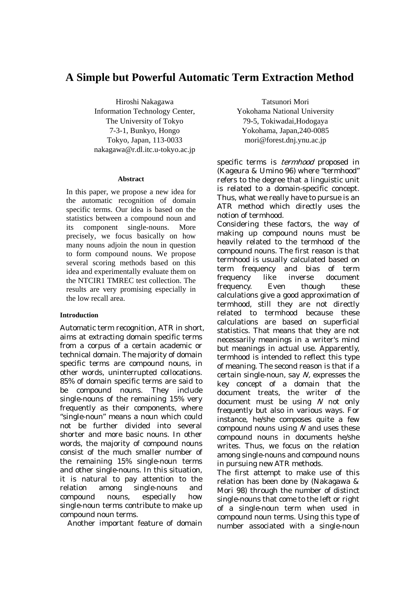# **A Simple but Powerful Automatic Term Extraction Method**

Hiroshi Nakagawa Information Technology Center, The University of Tokyo 7-3-1, Bunkyo, Hongo Tokyo, Japan, 113-0033 nakagawa@r.dl.itc.u-tokyo.ac.jp

#### **Abstract**

In this paper, we propose a new idea for the automatic recognition of domain specific terms. Our idea is based on the statistics between a compound noun and its component single-nouns. More precisely, we focus basically on how many nouns adjoin the noun in question to form compound nouns. We propose several scoring methods based on this idea and experimentally evaluate them on the NTCIR1 TMREC test collection. The results are very promising especially in the low recall area.

# **Introduction**

Automatic term recognition, ATR in short, aims at extracting domain specific terms from a corpus of a certain academic or technical domain. The majority of domain specific terms are compound nouns, in other words, uninterrupted collocations. 85% of domain specific terms are said to be compound nouns. They include single-nouns of the remaining 15% very frequently as their components, where "single-noun" means a noun which could not be further divided into several shorter and more basic nouns. In other words, the majority of compound nouns consist of the much smaller number of the remaining 15% single-noun terms and other single-nouns. In this situation, it is natural to pay attention to the relation among single-nouns and compound nouns, especially how single-noun terms contribute to make up compound noun terms.

Another important feature of domain

Tatsunori Mori Yokohama National University 79-5, Tokiwadai,Hodogaya Yokohama, Japan,240-0085 mori@forest.dnj.ynu.ac.jp

specific terms is *termhood* proposed in (Kageura & Umino 96) where "termhood" refers to the degree that a linguistic unit is related to a domain-specific concept. Thus, what we really have to pursue is an ATR method which directly uses the notion of termhood.

Considering these factors, the way of making up compound nouns must be heavily related to the termhood of the compound nouns. The first reason is that termhood is usually calculated based on term frequency and bias of term frequency like inverse document frequency. Even though these calculations give a good approximation of termhood, still they are not directly related to termhood because these calculations are based on superficial statistics. That means that they are not necessarily meanings in a writer's mind but meanings in actual use. Apparently, termhood is intended to reflect this type of meaning. The second reason is that if a certain single-noun, say  $N$ , expresses the key concept of a domain that the document treats, the writer of the document must be using  $N$  not only frequently but also in various ways. For instance, he/she composes quite a few compound nouns using  $N$  and uses these compound nouns in documents he/she writes. Thus, we focus on the relation among single-nouns and compound nouns in pursuing new ATR methods.

The first attempt to make use of this relation has been done by (Nakagawa & Mori 98) through the number of distinct single-nouns that come to the left or right of a single-noun term when used in compound noun terms. Using this type of number associated with a single-noun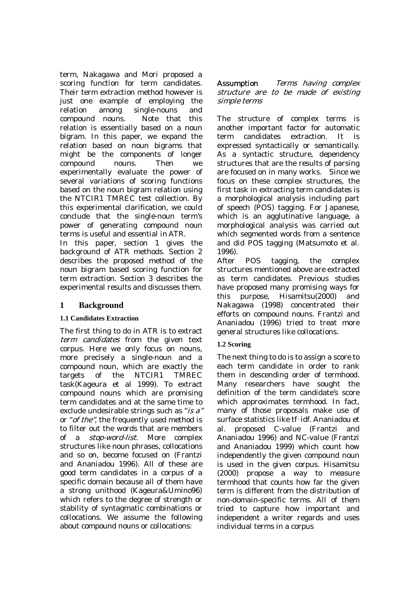term, Nakagawa and Mori proposed a scoring function for term candidates. Their term extraction method however is just one example of employing the relation among single-nouns and compound nouns. Note that this relation is essentially based on a noun bigram. In this paper, we expand the relation based on noun bigrams that might be the components of longer compound nouns. Then we experimentally evaluate the power of several variations of scoring functions based on the noun bigram relation using the NTCIR1 TMREC test collection. By this experimental clarification, we could conclude that the single-noun term's power of generating compound noun terms is useful and essential in ATR. In this paper, section 1 gives the background of ATR methods. Section 2 describes the proposed method of the noun bigram based scoring function for term extraction. Section 3 describes the

experimental results and discusses them.

# **1 Background**

# **1.1 Candidates Extraction**

The first thing to do in ATR is to extract term candidates from the given text corpus. Here we only focus on nouns, more precisely a single-noun and a compound noun, which are exactly the targets of the NTCIR1 TMREC task(Kageura et al 1999). To extract compound nouns which are promising term candidates and at the same time to exclude undesirable strings such as "is a" or "*of the*", the frequently used method is to filter out the words that are members of a stop-word-list. More complex structures like noun phrases, collocations and so on, become focused on (Frantzi and Ananiadou 1996). All of these are good term candidates in a corpus of a specific domain because all of them have a strong unithood (Kageura&Umino96) which refers to the degree of strength or stability of syntagmatic combinations or collocations. We assume the following about compound nouns or collocations:

Assumption Terms having complex structure are to be made of existing simple terms

The structure of complex terms is another important factor for automatic term candidates extraction. It is expressed syntactically or semantically. As a syntactic structure, dependency structures that are the results of parsing are focused on in many works. Since we focus on these complex structures, the first task in extracting term candidates is a morphological analysis including part of speech (POS) tagging. For Japanese, which is an agglutinative language, a morphological analysis was carried out which segmented words from a sentence and did POS tagging (Matsumoto et al. 1996).

After POS tagging, the complex structures mentioned above are extracted as term candidates. Previous studies have proposed many promising ways for this purpose, Hisamitsu(2000) and Nakagawa (1998) concentrated their efforts on compound nouns. Frantzi and Ananiadou (1996) tried to treat more general structures like collocations.

# **1.2 Scoring**

The next thing to do is to assign a score to each term candidate in order to rank them in descending order of termhood. Many researchers have sought the definition of the term candidate's score which approximates termhood. In fact, many of those proposals make use of surface statistics like tf∙idf. Ananiadou et al. proposed C-value (Frantzi and Ananiadou 1996) and NC-value (Frantzi and Ananiadou 1999) which count how independently the given compound noun is used in the given corpus. Hisamitsu (2000) propose a way to measure termhood that counts how far the given term is different from the distribution of non-domain-specific terms. All of them tried to capture how important and independent a writer regards and uses individual terms in a corpus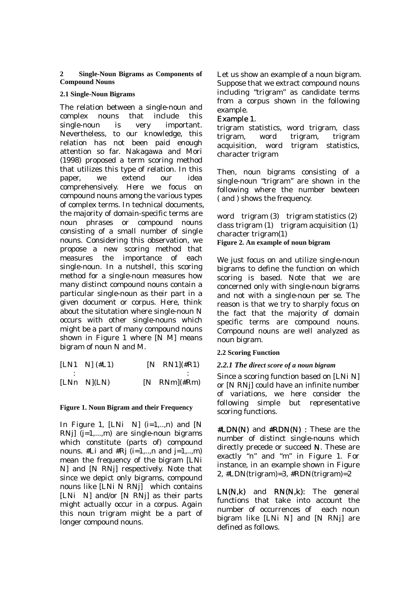**2 Single-Noun Bigrams as Components of Compound Nouns** 

### **2.1 Single-Noun Bigrams**

The relation between a single-noun and complex nouns that include this single-noun is very important. Nevertheless, to our knowledge, this relation has not been paid enough attention so far. Nakagawa and Mori (1998) proposed a term scoring method that utilizes this type of relation. In this paper, we extend our idea comprehensively. Here we focus on compound nouns among the various types of complex terms. In technical documents, the majority of domain-specific terms are noun phrases or compound nouns consisting of a small number of single nouns. Considering this observation, we propose a new scoring method that measures the importance of each single-noun. In a nutshell, this scoring method for a single-noun measures how many distinct compound nouns contain a particular single-noun as their part in a given document or corpus. Here, think about the situtation where single-noun N occurs with other single-nouns which might be a part of many compound nouns shown in Figure 1 where [N M] means bigram of noun N and M.

| $[LN1 \ N]$ (#L1) | $[N$ RN1 $](\#R1)$ |
|-------------------|--------------------|
|                   |                    |
| [LNn N](LN)       | $[N$ RNm $](\#Rm)$ |

**Figure 1. Noun Bigram and their Frequency** 

In Figure 1,  $[LNi \ N]$  (i=1,..,n) and  $[N]$ RNj $|$  (j=1,...,m) are single-noun bigrams which constitute (parts of) compound nouns. #Li and  $\#Rj$  (i=1,..,n and j=1,..,m) mean the frequency of the bigram [LNi N] and [N RNj] respectively. Note that since we depict only bigrams, compound nouns like [LNi N RNj] which contains [LNi N] and/or [N RNj] as their parts might actually occur in a corpus. Again this noun trigram might be a part of longer compound nouns.

Let us show an example of a noun bigram. Suppose that we extract compound nouns including "trigram" as candidate terms from a corpus shown in the following example.

# Example 1.

trigram statistics, word trigram, class trigram, word trigram, trigram acquisition, word trigram statistics, character trigram

Then, noun bigrams consisting of a single-noun "trigram" are shown in the following where the number bewteen ( and ) shows the frequency.

word trigram (3) trigram statistics (2) class trigram (1) trigram acquisition (1) character trigram(1) **Figure 2. An example of noun bigram** 

We just focus on and utilize single-noun bigrams to define the function on which scoring is based. Note that we are concerned only with single-noun bigrams and not with a single-noun per se. The reason is that we try to sharply focus on the fact that the majority of domain specific terms are compound nouns. Compound nouns are well analyzed as noun bigram.

# **2.2 Scoring Function**

# *2.2.1 The direct score of a noun bigram*

Since a scoring function based on [LNi N] or [N RNj] could have an infinite number of variations, we here consider the following simple but representative scoring functions.

#LDN(N) and #RDN(N) : These are the number of distinct single-nouns which directly precede or succeed N. These are exactly "n" and "m" in Figure 1. For instance, in an example shown in Figure 2,  $#LDN(trigram)=3$ ,  $#RDN(trigram)=2$ 

LN(N,k) and RN(N,k): The general functions that take into account the number of occurrences of each noun bigram like [LNi N] and [N RNj] are defined as follows.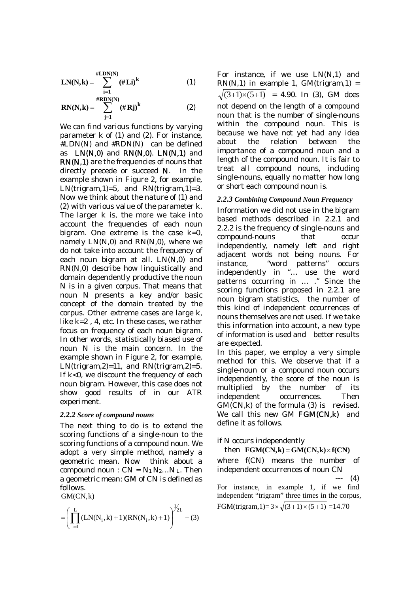LN(N,k) = 
$$
\sum_{i=1}^{\#LDN(N)} (\#Li)^{k}
$$
 (1)

$$
RN(N,k) = \sum_{j=1}^{\#RDN(N)} (\#Rj)^{k}
$$
 (2)

We can find various functions by varying parameter k of (1) and (2). For instance, #LDN(N) and #RDN(N) can be defined as  $LN(N,0)$  and  $RN(N,0)$ .  $LN(N,1)$  and RN(N,1) are the frequencies of nouns that directly precede or succeed N. In the example shown in Figure 2, for example, LN(trigram,1)=5, and RN(trigram,1)=3. Now we think about the nature of (1) and (2) with various value of the parameter k. The larger k is, the more we take into account the frequencies of each noun bigram. One extreme is the case  $k=0$ , namely  $LN(N,0)$  and  $RN(N,0)$ , where we do not take into account the frequency of each noun bigram at all. LN(N,0) and RN(N,0) describe how linguistically and domain dependently productive the noun N is in a given corpus. That means that noun N presents a key and/or basic concept of the domain treated by the corpus. Other extreme cases are large k, like k=2 , 4, etc. In these cases, we rather focus on frequency of each noun bigram. In other words, statistically biased use of noun N is the main concern. In the example shown in Figure 2, for example, LN(trigram,2)=11, and RN(trigram,2)=5. If  $k<0$ , we discount the frequency of each noun bigram. However, this case does not show good results of in our ATR experiment.

### *2.2.2 Score of compound nouns*

The next thing to do is to extend the scoring functions of a single-noun to the scoring functions of a compound noun. We adopt a very simple method, namely a geometric mean. Now think about a compound noun :  $CN = N_1 N_2 ... N_L$ . Then a geometric mean: GM of CN is defined as follows.

 $GM(CN,k)$ 

$$
= \left(\prod_{i=1}^{L} (LN(N_i, k) + 1)(RN(N_i, k) + 1)\right)^{\frac{1}{2}} - (3)
$$

For instance, if we use LN(N,1) and  $RN(N,1)$  in example 1,  $GM(trigram,1)$  =  $\sqrt{(3+1)} \times (5+1)$  = 4.90. In (3), GM does not depend on the length of a compound noun that is the number of single-nouns within the compound noun. This is because we have not yet had any idea about the relation between the importance of a compound noun and a length of the compound noun. It is fair to treat all compound nouns, including single-nouns, equally no matter how long or short each compound noun is.

### *2.2.3 Combining Compound Noun Frequency*

Information we did not use in the bigram based methods described in 2.2.1 and 2.2.2 is the frequency of single-nouns and compound-nouns that occur independently, namely left and right adjacent words not being nouns. For instance, "word patterns" occurs independently in "… use the word patterns occurring in … ." Since the scoring functions proposed in 2.2.1 are noun bigram statistics, the number of this kind of independent occurrences of nouns themselves are not used. If we take this information into account, a new type of information is used and better results are expected.

In this paper, we employ a very simple method for this. We observe that if a single-noun or a compound noun occurs independently, the score of the noun is multiplied by the number of its independent occurrences. Then GM(CN,k) of the formula (3) is revised. We call this new GM FGM(CN,k) and define it as follows.

#### if N occurs independently

then  $\textbf{FGM}(\textbf{CN},\textbf{k}) = \textbf{GM}(\textbf{CN},\textbf{k}) \times \textbf{f}(\textbf{CN})$ where f(CN) means the number of independent occurrences of noun CN FGM(trigram,1)= $3 \times \sqrt{(3+1) \times (5+1)}$  =14.70 For instance, in example 1, if we find independent "trigram" three times in the corpus,  $(4)$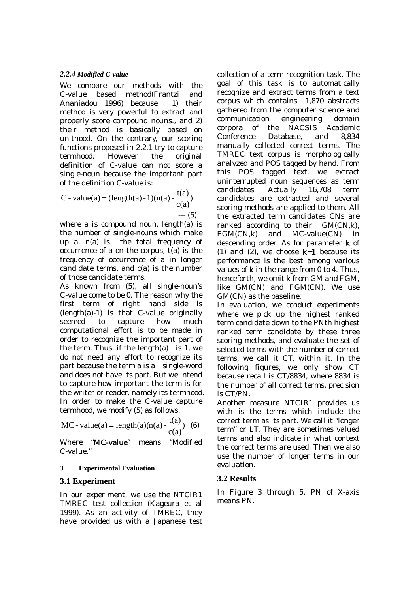### *2.2.4 Modified C-value*

We compare our methods with the C-value based method(Frantzi and Ananiadou 1996) because 1) their method is very powerful to extract and properly score compound nouns., and 2) their method is basically based on unithood. On the contrary, our scoring functions proposed in 2.2.1 try to capture termhood. However the original definition of C-value can not score a single-noun because the important part of the definition C-value is:

C - value(a) = (length(a) - 1)(n(a) - 
$$
\frac{t(a)}{c(a)}
$$
)  
--- (5)

where a is compound noun, length(a) is the number of single-nouns which make up a, n(a) is the total frequency of occurrence of a on the corpus, t(a) is the frequency of occurrence of a in longer candidate terms, and c(a) is the number of those candidate terms.

As known from (5), all single-noun's C-value come to be 0. The reason why the first term of right hand side is (length(a)-1) is that C-value originally seemed to capture how much computational effort is to be made in order to recognize the important part of the term. Thus, if the length(a) is 1, we do not need any effort to recognize its part because the term a is a single-word and does not have its part. But we intend to capture how important the term is for the writer or reader, namely its termhood. In order to make the C-value capture termhood, we modify (5) as follows.

MC-value(a) = length(a)(n(a) - 
$$
\frac{t(a)}{c(a)}
$$
) (6)

Where "MC-value" means "Modified C-value."

# **3 Experimental Evaluation**

# **3.1 Experiment**

In our experiment, we use the NTCIR1 TMREC test collection (Kageura et al 1999). As an activity of TMREC, they have provided us with a Japanese test

collection of a term recognition task. The goal of this task is to automatically recognize and extract terms from a text corpus which contains 1,870 abstracts gathered from the computer science and communication engineering domain corpora of the NACSIS Academic Conference Database, and 8,834 manually collected correct terms. The TMREC text corpus is morphologically analyzed and POS tagged by hand. From this POS tagged text, we extract uninterrupted noun sequences as term candidates. Actually 16,708 term candidates are extracted and several scoring methods are applied to them. All the extracted term candidates CNs are ranked according to their GM(CN,k), FGM(CN,k) and MC-value(CN) in descending order. As for parameter  $\bf{k}$  of (1) and (2), we choose  $k=1$  because its performance is the best among various values of k in the range from 0 to 4. Thus, henceforth, we omit **k** from GM and FGM, like GM(CN) and FGM(CN). We use GM(CN) as the baseline.

In evaluation, we conduct experiments where we pick up the highest ranked term candidate down to the PNth highest ranked term candidate by these three scoring methods, and evaluate the set of selected terms with the number of correct terms, we call it CT, within it. In the following figures, we only show CT because recall is CT/8834, where 8834 is the number of all correct terms, precision is CT/PN.

Another measure NTCIR1 provides us with is the terms which include the correct term as its part. We call it "longer term" or LT. They are sometimes valued terms and also indicate in what context the correct terms are used. Then we also use the number of longer terms in our evaluation.

# **3.2 Results**

In Figure 3 through 5, PN of X-axis means PN.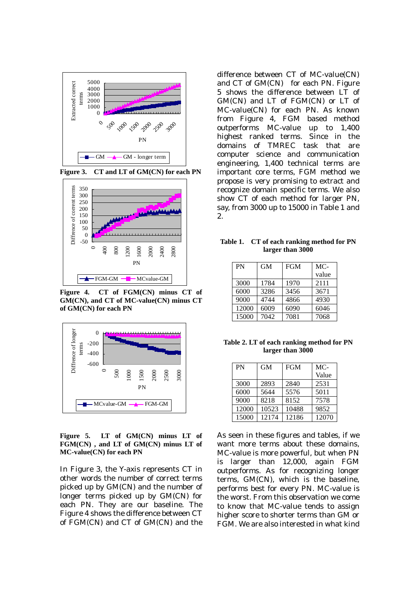

**Figure 3. CT and LT of GM(CN) for each PN**



**Figure 4. CT of FGM(CN) minus CT of GM(CN), and CT of MC-value(CN) minus CT of GM(CN) for each PN**



**Figure 5. LT of GM(CN) minus LT of FGM(CN) , and LT of GM(CN) minus LT of MC-value(CN) for each PN** 

In Figure 3, the Y-axis represents CT in other words the number of correct terms picked up by GM(CN) and the number of longer terms picked up by GM(CN) for each PN. They are our baseline. The Figure 4 shows the difference between CT of FGM(CN) and CT of GM(CN) and the

difference between CT of MC-value(CN) and CT of GM(CN) for each PN. Figure 5 shows the difference between LT of GM(CN) and LT of FGM(CN) or LT of MC-value(CN) for each PN. As known from Figure 4, FGM based method outperforms MC-value up to 1,400 highest ranked terms. Since in the domains of TMREC task that are computer science and communication engineering, 1,400 technical terms are important core terms, FGM method we propose is very promising to extract and recognize domain specific terms. We also show CT of each method for larger PN, say, from 3000 up to 15000 in Table 1 and 2.

**Table 1. CT of each ranking method for PN larger than 3000** 

| PN    | GМ   | <b>FGM</b> | $MC-$ |
|-------|------|------------|-------|
|       |      |            | value |
| 3000  | 1784 | 1970       | 2111  |
| 6000  | 3286 | 3456       | 3671  |
| 9000  | 4744 | 4866       | 4930  |
| 12000 | 6009 | 6090       | 6046  |
| 15000 | 7042 | 7081       | 7068  |

| Table 2. LT of each ranking method for PN |                  |  |
|-------------------------------------------|------------------|--|
|                                           | larger than 3000 |  |

| <b>PN</b> | GМ    | <b>FGM</b> | $MC-$ |
|-----------|-------|------------|-------|
|           |       |            | Value |
| 3000      | 2893  | 2840       | 2531  |
| 6000      | 5644  | 5576       | 5011  |
| 9000      | 8218  | 8152       | 7578  |
| 12000     | 10523 | 10488      | 9852  |
| 15000     | 12174 | 12186      | 12070 |

As seen in these figures and tables, if we want more terms about these domains, MC-value is more powerful, but when PN is larger than 12,000, again FGM outperforms. As for recognizing longer terms, GM(CN), which is the baseline, performs best for every PN. MC-value is the worst. From this observation we come to know that MC-value tends to assign higher score to shorter terms than GM or FGM. We are also interested in what kind